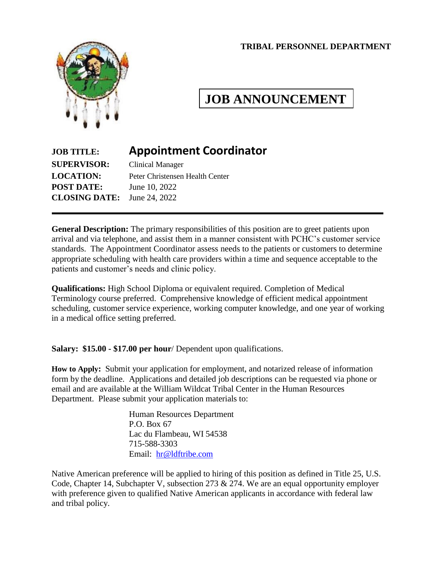#### **TRIBAL PERSONNEL DEPARTMENT**



# **JOB ANNOUNCEMENT**

# **JOB TITLE: Appointment Coordinator**

**SUPERVISOR:** Clinical Manager **POST DATE:** June 10, 2022 **CLOSING DATE:** June 24, 2022

**LOCATION:** Peter Christensen Health Center

**General Description:** The primary responsibilities of this position are to greet patients upon arrival and via telephone, and assist them in a manner consistent with PCHC's customer service standards. The Appointment Coordinator assess needs to the patients or customers to determine appropriate scheduling with health care providers within a time and sequence acceptable to the patients and customer's needs and clinic policy.

**Qualifications:** High School Diploma or equivalent required. Completion of Medical Terminology course preferred. Comprehensive knowledge of efficient medical appointment scheduling, customer service experience, working computer knowledge, and one year of working in a medical office setting preferred.

**Salary: \$15.00 - \$17.00 per hour**/ Dependent upon qualifications.

**How to Apply:** Submit your application for employment, and notarized release of information form by the deadline. Applications and detailed job descriptions can be requested via phone or email and are available at the William Wildcat Tribal Center in the Human Resources Department. Please submit your application materials to:

> Human Resources Department P.O. Box 67 Lac du Flambeau, WI 54538 715-588-3303 Email: [hr@ldftribe.com](mailto:hr@ldftribe.com)

Native American preference will be applied to hiring of this position as defined in Title 25, U.S. Code, Chapter 14, Subchapter V, subsection 273 & 274. We are an equal opportunity employer with preference given to qualified Native American applicants in accordance with federal law and tribal policy.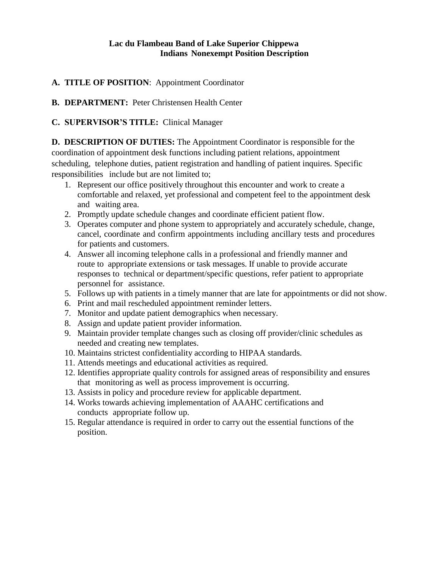#### **Lac du Flambeau Band of Lake Superior Chippewa Indians Nonexempt Position Description**

## **A. TITLE OF POSITION**: Appointment Coordinator

**B. DEPARTMENT:** Peter Christensen Health Center

**C. SUPERVISOR'S TITLE:** Clinical Manager

**D. DESCRIPTION OF DUTIES:** The Appointment Coordinator is responsible for the coordination of appointment desk functions including patient relations, appointment scheduling, telephone duties, patient registration and handling of patient inquires. Specific responsibilities include but are not limited to;

- 1. Represent our office positively throughout this encounter and work to create a comfortable and relaxed, yet professional and competent feel to the appointment desk and waiting area.
- 2. Promptly update schedule changes and coordinate efficient patient flow.
- 3. Operates computer and phone system to appropriately and accurately schedule, change, cancel, coordinate and confirm appointments including ancillary tests and procedures for patients and customers.
- 4. Answer all incoming telephone calls in a professional and friendly manner and route to appropriate extensions or task messages. If unable to provide accurate responses to technical or department/specific questions, refer patient to appropriate personnel for assistance.
- 5. Follows up with patients in a timely manner that are late for appointments or did not show.
- 6. Print and mail rescheduled appointment reminder letters.
- 7. Monitor and update patient demographics when necessary.
- 8. Assign and update patient provider information.
- 9. Maintain provider template changes such as closing off provider/clinic schedules as needed and creating new templates.
- 10. Maintains strictest confidentiality according to HIPAA standards.
- 11. Attends meetings and educational activities as required.
- 12. Identifies appropriate quality controls for assigned areas of responsibility and ensures that monitoring as well as process improvement is occurring.
- 13. Assists in policy and procedure review for applicable department.
- 14. Works towards achieving implementation of AAAHC certifications and conducts appropriate follow up.
- 15. Regular attendance is required in order to carry out the essential functions of the position.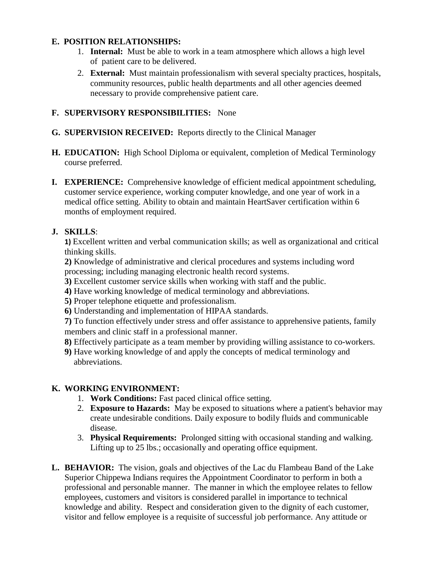#### **E. POSITION RELATIONSHIPS:**

- 1. **Internal:** Must be able to work in a team atmosphere which allows a high level of patient care to be delivered.
- 2. **External:** Must maintain professionalism with several specialty practices, hospitals, community resources, public health departments and all other agencies deemed necessary to provide comprehensive patient care.

#### **F. SUPERVISORY RESPONSIBILITIES:** None

- **G. SUPERVISION RECEIVED:** Reports directly to the Clinical Manager
- **H. EDUCATION:** High School Diploma or equivalent, completion of Medical Terminology course preferred.
- **I. EXPERIENCE:** Comprehensive knowledge of efficient medical appointment scheduling, customer service experience, working computer knowledge, and one year of work in a medical office setting. Ability to obtain and maintain HeartSaver certification within 6 months of employment required.

#### **J. SKILLS**:

**1)** Excellent written and verbal communication skills; as well as organizational and critical thinking skills.

**2)** Knowledge of administrative and clerical procedures and systems including word processing; including managing electronic health record systems.

- **3)** Excellent customer service skills when working with staff and the public.
- **4)** Have working knowledge of medical terminology and abbreviations.
- **5)** Proper telephone etiquette and professionalism.
- **6)** Understanding and implementation of HIPAA standards.

**7)** To function effectively under stress and offer assistance to apprehensive patients, family members and clinic staff in a professional manner.

- **8)** Effectively participate as a team member by providing willing assistance to co-workers.
- **9)** Have working knowledge of and apply the concepts of medical terminology and abbreviations.

## **K. WORKING ENVIRONMENT:**

- 1. **Work Conditions:** Fast paced clinical office setting.
- 2. **Exposure to Hazards:** May be exposed to situations where a patient's behavior may create undesirable conditions. Daily exposure to bodily fluids and communicable disease.
- 3. **Physical Requirements:** Prolonged sitting with occasional standing and walking. Lifting up to 25 lbs.; occasionally and operating office equipment.
- **L. BEHAVIOR:** The vision, goals and objectives of the Lac du Flambeau Band of the Lake Superior Chippewa Indians requires the Appointment Coordinator to perform in both a professional and personable manner. The manner in which the employee relates to fellow employees, customers and visitors is considered parallel in importance to technical knowledge and ability. Respect and consideration given to the dignity of each customer, visitor and fellow employee is a requisite of successful job performance. Any attitude or